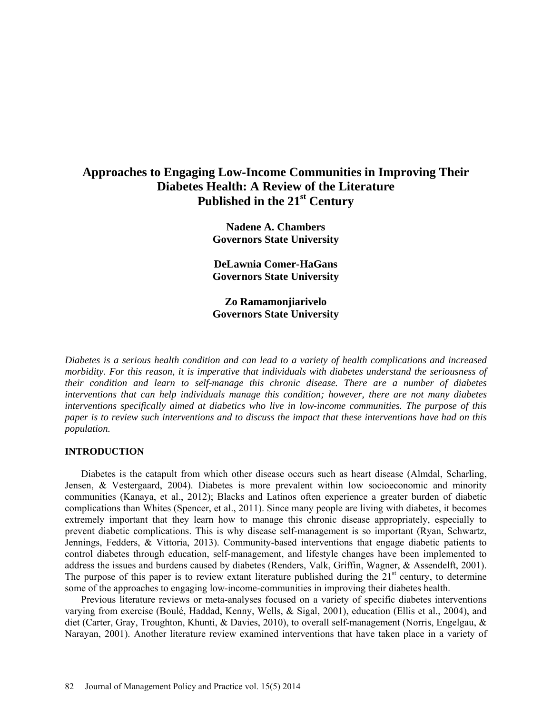## **Approaches to Engaging Low-Income Communities in Improving Their Diabetes Health: A Review of the Literature Published in the 21st Century**

**Nadene A. Chambers Governors State University**

**DeLawnia Comer-HaGans Governors State University**

**Zo Ramamonjiarivelo Governors State University**

*Diabetes is a serious health condition and can lead to a variety of health complications and increased morbidity. For this reason, it is imperative that individuals with diabetes understand the seriousness of their condition and learn to self-manage this chronic disease. There are a number of diabetes interventions that can help individuals manage this condition; however, there are not many diabetes interventions specifically aimed at diabetics who live in low-income communities. The purpose of this paper is to review such interventions and to discuss the impact that these interventions have had on this population.*

### **INTRODUCTION**

Diabetes is the catapult from which other disease occurs such as heart disease (Almdal, Scharling, Jensen, & Vestergaard, 2004). Diabetes is more prevalent within low socioeconomic and minority communities (Kanaya, et al., 2012); Blacks and Latinos often experience a greater burden of diabetic complications than Whites (Spencer, et al., 2011). Since many people are living with diabetes, it becomes extremely important that they learn how to manage this chronic disease appropriately, especially to prevent diabetic complications. This is why disease self-management is so important (Ryan, Schwartz, Jennings, Fedders, & Vittoria, 2013). Community-based interventions that engage diabetic patients to control diabetes through education, self-management, and lifestyle changes have been implemented to address the issues and burdens caused by diabetes (Renders, Valk, Griffin, Wagner, & Assendelft, 2001). The purpose of this paper is to review extant literature published during the  $21<sup>st</sup>$  century, to determine some of the approaches to engaging low-income-communities in improving their diabetes health.

Previous literature reviews or meta-analyses focused on a variety of specific diabetes interventions varying from exercise (Boulé, Haddad, Kenny, Wells, & Sigal, 2001), education (Ellis et al., 2004), and diet (Carter, Gray, Troughton, Khunti, & Davies, 2010), to overall self-management (Norris, Engelgau, & Narayan, 2001). Another literature review examined interventions that have taken place in a variety of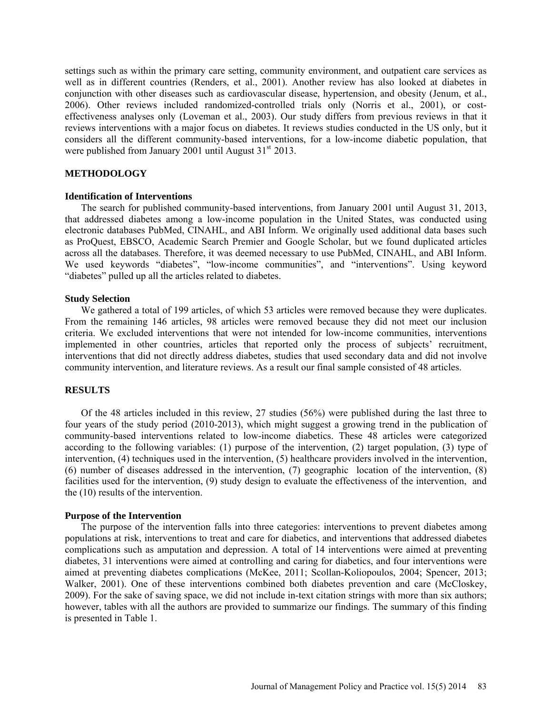settings such as within the primary care setting, community environment, and outpatient care services as well as in different countries (Renders, et al., 2001). Another review has also looked at diabetes in conjunction with other diseases such as cardiovascular disease, hypertension, and obesity (Jenum, et al., 2006). Other reviews included randomized-controlled trials only (Norris et al., 2001), or costeffectiveness analyses only (Loveman et al., 2003). Our study differs from previous reviews in that it reviews interventions with a major focus on diabetes. It reviews studies conducted in the US only, but it considers all the different community-based interventions, for a low-income diabetic population, that were published from January 2001 until August  $31<sup>st</sup> 2013$ .

### **METHODOLOGY**

### **Identification of Interventions**

The search for published community-based interventions, from January 2001 until August 31, 2013, that addressed diabetes among a low-income population in the United States, was conducted using electronic databases PubMed, CINAHL, and ABI Inform. We originally used additional data bases such as ProQuest, EBSCO, Academic Search Premier and Google Scholar, but we found duplicated articles across all the databases. Therefore, it was deemed necessary to use PubMed, CINAHL, and ABI Inform. We used keywords "diabetes", "low-income communities", and "interventions". Using keyword "diabetes" pulled up all the articles related to diabetes.

### **Study Selection**

We gathered a total of 199 articles, of which 53 articles were removed because they were duplicates. From the remaining 146 articles, 98 articles were removed because they did not meet our inclusion criteria. We excluded interventions that were not intended for low-income communities, interventions implemented in other countries, articles that reported only the process of subjects' recruitment, interventions that did not directly address diabetes, studies that used secondary data and did not involve community intervention, and literature reviews. As a result our final sample consisted of 48 articles.

### **RESULTS**

Of the 48 articles included in this review, 27 studies (56%) were published during the last three to four years of the study period (2010-2013), which might suggest a growing trend in the publication of community-based interventions related to low-income diabetics. These 48 articles were categorized according to the following variables: (1) purpose of the intervention, (2) target population, (3) type of intervention, (4) techniques used in the intervention, (5) healthcare providers involved in the intervention, (6) number of diseases addressed in the intervention, (7) geographic location of the intervention, (8) facilities used for the intervention, (9) study design to evaluate the effectiveness of the intervention, and the (10) results of the intervention.

### **Purpose of the Intervention**

The purpose of the intervention falls into three categories: interventions to prevent diabetes among populations at risk, interventions to treat and care for diabetics, and interventions that addressed diabetes complications such as amputation and depression. A total of 14 interventions were aimed at preventing diabetes, 31 interventions were aimed at controlling and caring for diabetics, and four interventions were aimed at preventing diabetes complications (McKee, 2011; Scollan-Koliopoulos, 2004; Spencer, 2013; Walker, 2001). One of these interventions combined both diabetes prevention and care (McCloskey, 2009). For the sake of saving space, we did not include in-text citation strings with more than six authors; however, tables with all the authors are provided to summarize our findings. The summary of this finding is presented in Table 1.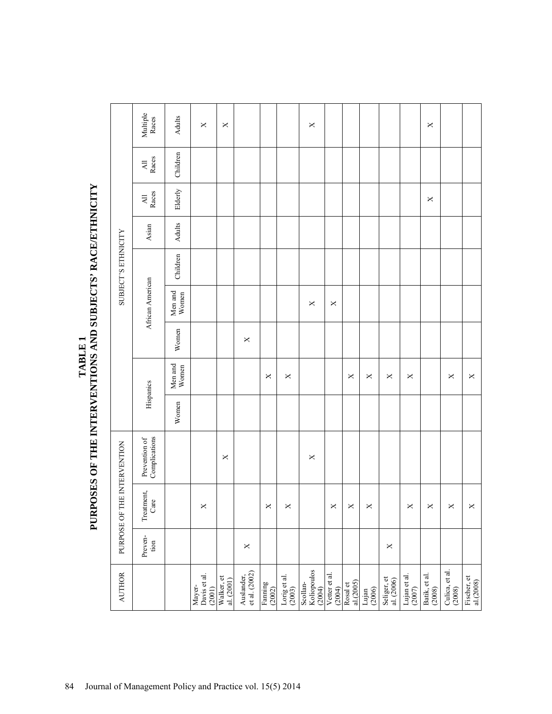|                          |                                  | PURPOSE OF THE INTERVENTION |                                |           |                  |          |                  | <b>SUBJECT'S ETHNICITY</b> |        |                                   |              |                       |
|--------------------------|----------------------------------|-----------------------------|--------------------------------|-----------|------------------|----------|------------------|----------------------------|--------|-----------------------------------|--------------|-----------------------|
|                          | Preven-<br>$\operatorname{tion}$ | Treatment,<br>Care          | Prevention of<br>Complications | Hispanics |                  |          | African American |                            | Asian  | Races<br>$\overline{\mathsf{AL}}$ | All<br>Races | Multiple<br>Races     |
|                          |                                  |                             |                                | Women     | Men and<br>Women | Women    | Men and<br>Women | Children                   | Adults | Elderly                           | Children     | Adults                |
|                          |                                  | ×                           |                                |           |                  |          |                  |                            |        |                                   |              | $\Join$               |
|                          |                                  |                             | $\times$                       |           |                  |          |                  |                            |        |                                   |              | $\times$              |
|                          | $\times$                         |                             |                                |           |                  | $\times$ |                  |                            |        |                                   |              |                       |
|                          |                                  | ×                           |                                |           | ×                |          |                  |                            |        |                                   |              |                       |
|                          |                                  | $\times$                    |                                |           | $\Join$          |          |                  |                            |        |                                   |              |                       |
| Koliopoulos<br>(2004)    |                                  |                             | ×                              |           |                  |          | ×                |                            |        |                                   |              | $\boldsymbol{\times}$ |
|                          |                                  | ×                           |                                |           |                  |          | $\times$         |                            |        |                                   |              |                       |
|                          |                                  | ×                           |                                |           | ×                |          |                  |                            |        |                                   |              |                       |
|                          |                                  | ×                           |                                |           | ×                |          |                  |                            |        |                                   |              |                       |
|                          | ×                                |                             |                                |           | ×                |          |                  |                            |        |                                   |              |                       |
| Lujan et al.<br>$(2007)$ |                                  | ×                           |                                |           | ×                |          |                  |                            |        |                                   |              |                       |
|                          |                                  | ×                           |                                |           |                  |          |                  |                            |        | $\times$                          |              | ×                     |
| Culica, et al.<br>(2008) |                                  | $\times$                    |                                |           | ×                |          |                  |                            |        |                                   |              |                       |
|                          |                                  | ×                           |                                |           | $\times$         |          |                  |                            |        |                                   |              |                       |

# TABLE 1<br>PURPOSES OF THE INTERVENTIONS AND SUBJECTS' RACE/ETHNICITY **PURPOSES OF THE INTERVENTIONS AND SUBJECTS' RACE/ETHNICITY**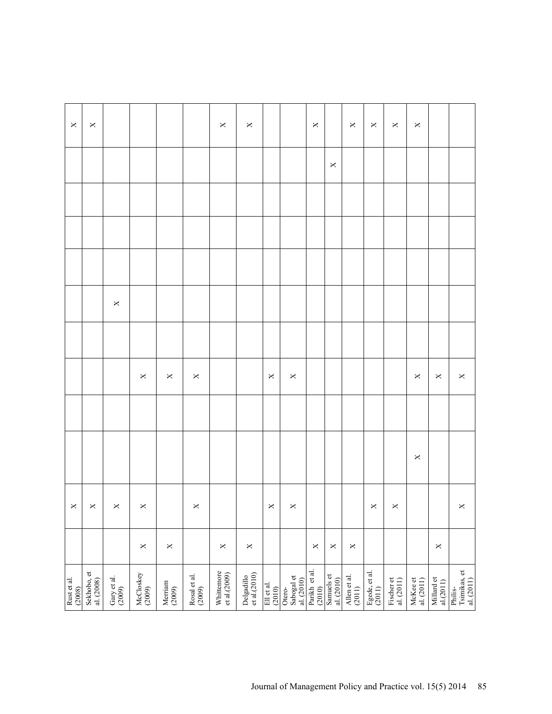| Rust et al.<br>(2008)                |          | $\times$              |         |                |         |  |         | $\pmb{\times}$ |
|--------------------------------------|----------|-----------------------|---------|----------------|---------|--|---------|----------------|
| Sekhobo, et<br>al. (2008)            |          | $\times$              |         |                |         |  |         | $\pmb{\times}$ |
| Gary et al.<br>(2009)                |          | $\times$              |         |                | $\Join$ |  |         |                |
| McCloskey<br>(2009)                  | $\times$ | $\times$              |         | $\Join$        |         |  |         |                |
| Merriam<br>(2009)                    | $\times$ |                       |         | ×              |         |  |         |                |
| Rosal et al.<br>(2009)               |          | $\boldsymbol{\times}$ |         | $\Join$        |         |  |         |                |
| Whittemore<br>et al.(2009)           | $\Join$  |                       |         |                |         |  |         | $\pmb{\times}$ |
| Delgadillo<br>et al.(2010)           | $\times$ |                       |         |                |         |  |         | $\Join$        |
| Ell et al.<br>(2010)                 |          | $\times$              |         | $\pmb{\times}$ |         |  |         |                |
| Otero-<br>Sabogal et<br>al. (2010)   |          | $\times$              |         | $\Join$        |         |  |         |                |
| Parikh et al.<br>$(2010)$            | $\times$ |                       |         |                |         |  |         | $\pmb{\times}$ |
| Samuels et<br>al. (2010)             | $\times$ |                       |         |                |         |  | $\Join$ |                |
| Allen et al.<br>(2011)               | $\times$ |                       |         |                |         |  |         | $\pmb{\times}$ |
| Egede, et al.<br>(2011) $\,$         |          | $\times$              |         |                |         |  |         | $\Join$        |
| Fischer et<br>al. $(2011)$           |          | $\times$              |         |                |         |  |         | ×              |
| McKee et<br>al. $(2011)$             |          |                       | $\Join$ | $\pmb{\times}$ |         |  |         | $\pmb{\times}$ |
| Millard et<br>al(2011)               | $\times$ |                       |         | $\Join$        |         |  |         |                |
| Tsimikas, et al. $(2011)$<br>Philis- |          | $\times$              |         | $\pmb{\times}$ |         |  |         |                |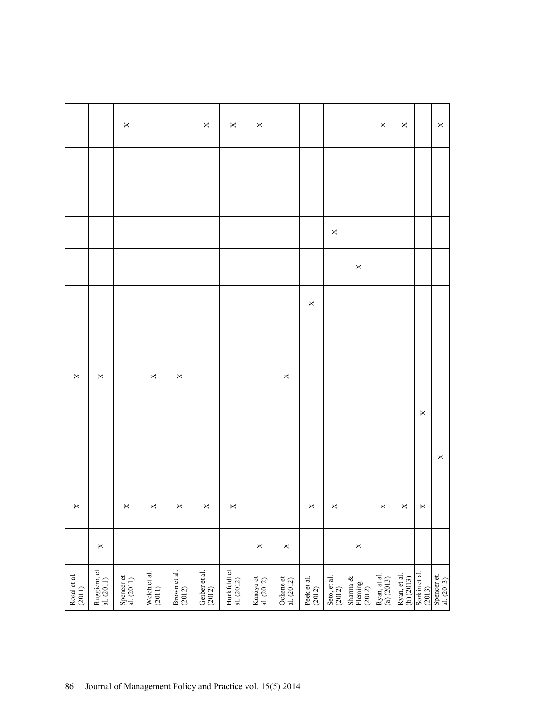|                        |                            | $\pmb{\times}$           |                                              |                        | $\Join$                   | $\Join$                   | $\Join$                 |                         |                       |                        |                               | $\pmb{\times}$                          | $\pmb{\times}$                               |                         | $\pmb{\times}$            |
|------------------------|----------------------------|--------------------------|----------------------------------------------|------------------------|---------------------------|---------------------------|-------------------------|-------------------------|-----------------------|------------------------|-------------------------------|-----------------------------------------|----------------------------------------------|-------------------------|---------------------------|
|                        |                            |                          |                                              |                        |                           |                           |                         |                         |                       |                        |                               |                                         |                                              |                         |                           |
|                        |                            |                          |                                              |                        |                           |                           |                         |                         |                       |                        |                               |                                         |                                              |                         |                           |
|                        |                            |                          |                                              |                        |                           |                           |                         |                         |                       | $\Join$                |                               |                                         |                                              |                         |                           |
|                        |                            |                          |                                              |                        |                           |                           |                         |                         |                       |                        | $\Join$                       |                                         |                                              |                         |                           |
|                        |                            |                          |                                              |                        |                           |                           |                         |                         | $\mathsf{X}$          |                        |                               |                                         |                                              |                         |                           |
|                        |                            |                          |                                              |                        |                           |                           |                         |                         |                       |                        |                               |                                         |                                              |                         |                           |
| $\boldsymbol{\times}$  | $\pmb{\times}$             |                          | $\mathsf{X}% _{0}\!\left( \mathsf{X}\right)$ | $\Join$                |                           |                           |                         | $\Join$                 |                       |                        |                               |                                         |                                              |                         |                           |
|                        |                            |                          |                                              |                        |                           |                           |                         |                         |                       |                        |                               |                                         |                                              | $\Join$                 |                           |
|                        |                            |                          |                                              |                        |                           |                           |                         |                         |                       |                        |                               |                                         |                                              |                         | $\Join$                   |
| $\pmb{\times}$         |                            | $\times$                 | $\boldsymbol{\times}$                        | $\boldsymbol{\times}$  | $\mathsf{X}^+$            | $\pmb{\times}$            |                         |                         | $\mathsf{X}^-$        | $\mathsf{X}$           |                               | $\boldsymbol{\times}$                   | $\mathsf{X}% _{0}\!\left( \mathsf{X}\right)$ | $\boldsymbol{\times}$   |                           |
|                        | $\pmb{\times}$             |                          |                                              |                        |                           |                           | $\times$                | $\boldsymbol{\times}$   |                       |                        | $\boldsymbol{\times}$         |                                         |                                              |                         |                           |
| Rosal et al.<br>(2011) | Ruggiero, et<br>al. (2011) | Spencer et<br>al. (2011) | Welch et al.<br>(2011)                       | Brown et al.<br>(2012) | Gerber et al.<br>$(2012)$ | Huckfeldt et al. $(2012)$ | Kanaya et<br>al. (2012) | Ockene et<br>al. (2012) | Peek et al.<br>(2012) | Seto, et al.<br>(2012) | Sharma &<br>Fleming<br>(2012) | Ryan, at al.<br>(a) $\left(2013\right)$ | Ryan, et al.<br>(b) $(2013)$                 | Sorkin et al.<br>(2013) | Spencer et.<br>al. (2013) |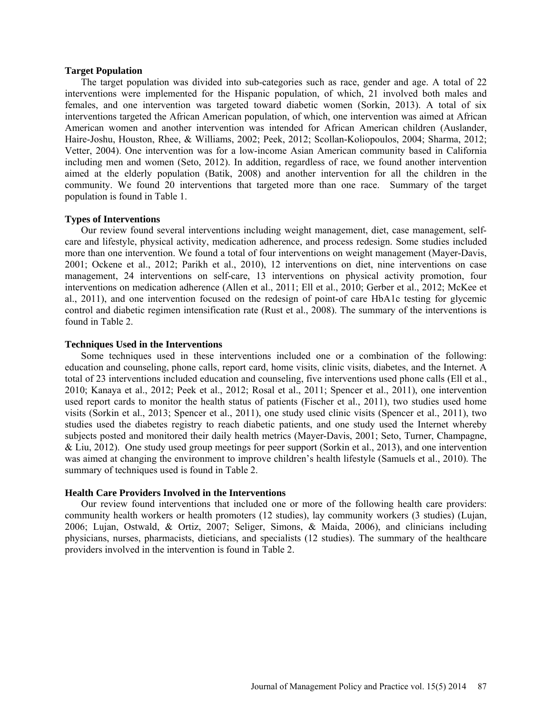### **Target Population**

The target population was divided into sub-categories such as race, gender and age. A total of 22 interventions were implemented for the Hispanic population, of which, 21 involved both males and females, and one intervention was targeted toward diabetic women (Sorkin, 2013). A total of six interventions targeted the African American population, of which, one intervention was aimed at African American women and another intervention was intended for African American children (Auslander, Haire-Joshu, Houston, Rhee, & Williams, 2002; Peek, 2012; Scollan-Koliopoulos, 2004; Sharma, 2012; Vetter, 2004). One intervention was for a low-income Asian American community based in California including men and women (Seto, 2012). In addition, regardless of race, we found another intervention aimed at the elderly population (Batik, 2008) and another intervention for all the children in the community. We found 20 interventions that targeted more than one race. Summary of the target population is found in Table 1.

### **Types of Interventions**

Our review found several interventions including weight management, diet, case management, selfcare and lifestyle, physical activity, medication adherence, and process redesign. Some studies included more than one intervention. We found a total of four interventions on weight management (Mayer-Davis, 2001; Ockene et al., 2012; Parikh et al., 2010), 12 interventions on diet, nine interventions on case management, 24 interventions on self-care, 13 interventions on physical activity promotion, four interventions on medication adherence (Allen et al., 2011; Ell et al., 2010; Gerber et al., 2012; McKee et al., 2011), and one intervention focused on the redesign of point-of care HbA1c testing for glycemic control and diabetic regimen intensification rate (Rust et al., 2008). The summary of the interventions is found in Table 2.

### **Techniques Used in the Interventions**

Some techniques used in these interventions included one or a combination of the following: education and counseling, phone calls, report card, home visits, clinic visits, diabetes, and the Internet. A total of 23 interventions included education and counseling, five interventions used phone calls (Ell et al., 2010; Kanaya et al., 2012; Peek et al., 2012; Rosal et al., 2011; Spencer et al., 2011), one intervention used report cards to monitor the health status of patients (Fischer et al., 2011), two studies used home visits (Sorkin et al., 2013; Spencer et al., 2011), one study used clinic visits (Spencer et al., 2011), two studies used the diabetes registry to reach diabetic patients, and one study used the Internet whereby subjects posted and monitored their daily health metrics (Mayer-Davis, 2001; Seto, Turner, Champagne, & Liu, 2012). One study used group meetings for peer support (Sorkin et al., 2013), and one intervention was aimed at changing the environment to improve children's health lifestyle (Samuels et al., 2010). The summary of techniques used is found in Table 2.

### **Health Care Providers Involved in the Interventions**

Our review found interventions that included one or more of the following health care providers: community health workers or health promoters (12 studies), lay community workers (3 studies) (Lujan, 2006; Lujan, Ostwald, & Ortiz, 2007; Seliger, Simons, & Maida, 2006), and clinicians including physicians, nurses, pharmacists, dieticians, and specialists (12 studies). The summary of the healthcare providers involved in the intervention is found in Table 2.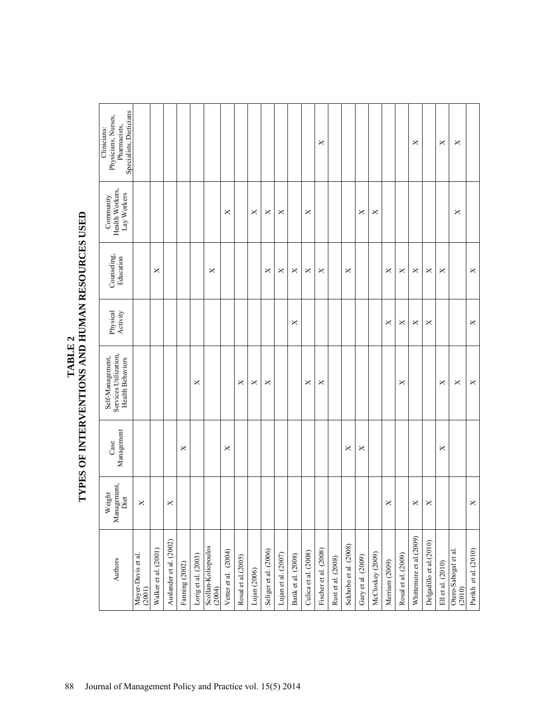| THAT THE S | $\blacksquare$<br>NINIMA)<br>VPFC OF INTENTINITIONS |
|------------|-----------------------------------------------------|
|------------|-----------------------------------------------------|

| Specialists, Dieticians<br>Physicians, Nurses,<br>Pharmacists,<br>Clinicians: |                              |                      |                         |               |                     |                               |                      |                     |                |                       |                     |                     |                      | ×                     |                    |                       |                    |                  |                       |                       | ×                       |                         | ×                 | $\times$                       |                      |
|-------------------------------------------------------------------------------|------------------------------|----------------------|-------------------------|---------------|---------------------|-------------------------------|----------------------|---------------------|----------------|-----------------------|---------------------|---------------------|----------------------|-----------------------|--------------------|-----------------------|--------------------|------------------|-----------------------|-----------------------|-------------------------|-------------------------|-------------------|--------------------------------|----------------------|
| Health Workers,<br>Lay Workers<br>Community                                   |                              |                      |                         |               |                     |                               | ×                    |                     | ×              | ×                     | ×                   |                     | ×                    |                       |                    |                       | ×                  | $\times$         |                       |                       |                         |                         |                   | ×                              |                      |
| Counseling,<br>Education                                                      |                              | ×                    |                         |               |                     | $\times$                      |                      |                     |                | ×                     | ×                   | ×                   | ×                    | ×                     |                    | ×                     |                    |                  | ×                     | $\boldsymbol{\times}$ | ×                       | ×                       | ×                 |                                | $\times$             |
| Physical<br>Activity                                                          |                              |                      |                         |               |                     |                               |                      |                     |                |                       |                     | ×                   |                      |                       |                    |                       |                    |                  | ×                     | ×                     | ×                       | ×                       |                   |                                | $\times$             |
| Self-Management,<br>Services Utilization,<br><b>Health Behaviors</b>          |                              |                      |                         |               | ×                   |                               |                      | ×                   | ×              | ×                     |                     |                     | ×                    | ×                     |                    |                       |                    |                  |                       | ×                     |                         |                         | ×                 | $\times$                       | $\times$             |
| Management<br>Case                                                            |                              |                      |                         | ×             |                     |                               | ×                    |                     |                |                       |                     |                     |                      |                       |                    | ×                     | ×                  |                  |                       |                       |                         |                         | $\times$          |                                |                      |
| Management,<br>eight<br>Diet<br>≥                                             | $\pmb{\times}$               |                      | ×                       |               |                     |                               |                      |                     |                |                       |                     |                     |                      |                       |                    |                       |                    |                  | $\boldsymbol{\times}$ |                       | ×                       | ×                       |                   |                                | $\times$             |
| Authors                                                                       | Mayer-Davis et al.<br>(2001) | Walker et al. (2001) | Auslander et al. (2002) | Faming (2002) | Lorig et al. (2003) | Scollan-Koliopoulos<br>(2004) | Vetter et al. (2004) | Rosal et al. (2005) | Lujan $(2006)$ | Seliger et al. (2006) | Lujan et al. (2007) | Batik et al. (2008) | Culica et al. (2008) | Fischer et al. (2008) | Rust et al. (2008) | Sekhobo et al. (2008) | Gary et al. (2009) | McCloskey (2009) | Merriam (2009)        | Rosal et al. (2009)   | Whittemore et al.(2009) | Delgadillo et al.(2010) | Ell et al. (2010) | Otero-Sabogal et al.<br>(2010) | Parikh et al. (2010) |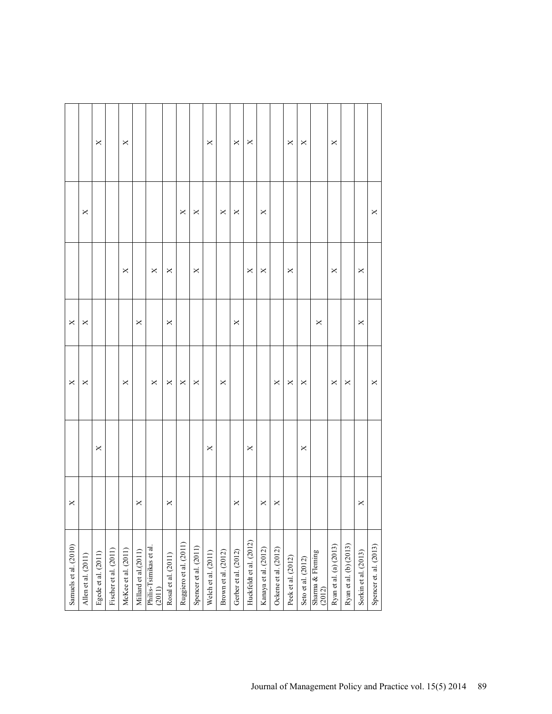|                       |                     | $\boldsymbol{\times}$ |                       | ×                   |                      |                                  |                     |                        |                       | ×                   |                     | $\times$             | $\times$                |                      |                      | $\times$              | $\times$           |                            | ×                      |                        |                      |                        |
|-----------------------|---------------------|-----------------------|-----------------------|---------------------|----------------------|----------------------------------|---------------------|------------------------|-----------------------|---------------------|---------------------|----------------------|-------------------------|----------------------|----------------------|-----------------------|--------------------|----------------------------|------------------------|------------------------|----------------------|------------------------|
|                       | $\times$            |                       |                       |                     |                      |                                  |                     | $\times$               | ×                     |                     | ×                   | ×                    |                         | ×                    |                      |                       |                    |                            |                        |                        |                      | ×                      |
|                       |                     |                       |                       | $\times$            |                      | $\times$                         | ×                   |                        | $\times$              |                     |                     |                      | $\times$                | ×                    |                      | $\times$              |                    |                            | ×                      |                        | ×                    |                        |
| $\mathsf{X}$          | ×                   |                       |                       |                     | $\times$             |                                  | ×                   |                        |                       |                     |                     | X                    |                         |                      |                      |                       |                    | $\times$                   |                        |                        | ×                    |                        |
| $\times$              | ×                   |                       |                       | $\times$            |                      | $\Join$                          | $\mathsf{X}$        | $\Join$                | $\times$              |                     | ×                   |                      |                         |                      | $\pmb{\times}$       | $\boldsymbol{\times}$ | $\times$           |                            | $\pmb{\times}$         | $\times$               |                      | X                      |
|                       |                     | X                     |                       |                     |                      |                                  |                     |                        |                       | $\times$            |                     |                      | $\times$                |                      |                      |                       | $\times$           |                            |                        |                        |                      |                        |
| $\times$              |                     |                       |                       |                     | $\times$             |                                  | $\times$            |                        |                       |                     |                     | $\times$             |                         | $\times$             | $\times$             |                       |                    |                            |                        |                        | $\times$             |                        |
| Samuels et al. (2010) | Allen et al. (2011) | Egede et al. (2011)   | Fischer et al. (2011) | McKee et al. (2011) | Millard et al.(2011) | Philis-Tsimikas et al.<br>(2011) | Rosal et al. (2011) | Ruggiero et al. (2011) | Spencer et al. (2011) | Welch et al. (2011) | Brown et al. (2012) | Gerber et al. (2012) | Huckfeldt et al. (2012) | Kanaya et al. (2012) | Ockene et al. (2012) | Peek et al. (2012)    | Seto et al. (2012) | Sharma & Fleming<br>(2012) | Ryan et al. (a) (2013) | Ryan et al. (b) (2013) | Sorkin et al. (2013) | Spencer et. al. (2013) |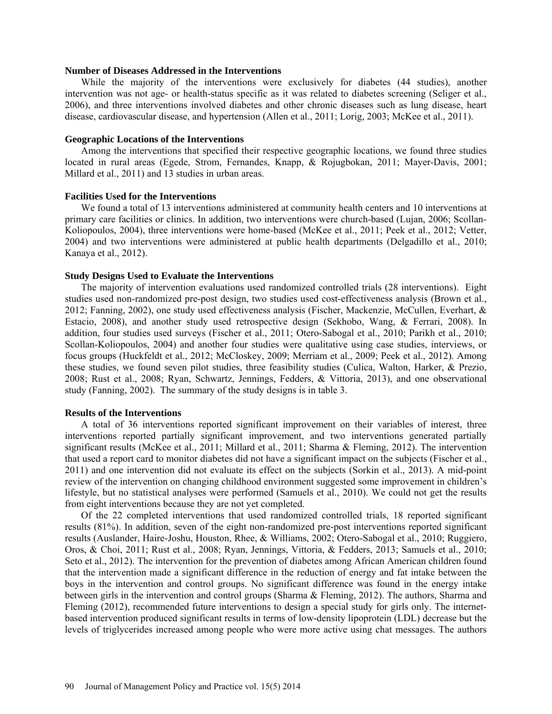### **Number of Diseases Addressed in the Interventions**

While the majority of the interventions were exclusively for diabetes (44 studies), another intervention was not age- or health-status specific as it was related to diabetes screening (Seliger et al., 2006), and three interventions involved diabetes and other chronic diseases such as lung disease, heart disease, cardiovascular disease, and hypertension (Allen et al., 2011; Lorig, 2003; McKee et al., 2011).

### **Geographic Locations of the Interventions**

Among the interventions that specified their respective geographic locations, we found three studies located in rural areas (Egede, Strom, Fernandes, Knapp, & Rojugbokan, 2011; Mayer-Davis, 2001; Millard et al., 2011) and 13 studies in urban areas.

### **Facilities Used for the Interventions**

We found a total of 13 interventions administered at community health centers and 10 interventions at primary care facilities or clinics. In addition, two interventions were church-based (Lujan, 2006; Scollan-Koliopoulos, 2004), three interventions were home-based (McKee et al., 2011; Peek et al., 2012; Vetter, 2004) and two interventions were administered at public health departments (Delgadillo et al., 2010; Kanaya et al., 2012).

### **Study Designs Used to Evaluate the Interventions**

The majority of intervention evaluations used randomized controlled trials (28 interventions). Eight studies used non-randomized pre-post design, two studies used cost-effectiveness analysis (Brown et al., 2012; Fanning, 2002), one study used effectiveness analysis (Fischer, Mackenzie, McCullen, Everhart, & Estacio, 2008), and another study used retrospective design (Sekhobo, Wang, & Ferrari, 2008). In addition, four studies used surveys (Fischer et al., 2011; Otero-Sabogal et al., 2010; Parikh et al., 2010; Scollan-Koliopoulos, 2004) and another four studies were qualitative using case studies, interviews, or focus groups (Huckfeldt et al., 2012; McCloskey, 2009; Merriam et al., 2009; Peek et al., 2012). Among these studies, we found seven pilot studies, three feasibility studies (Culica, Walton, Harker, & Prezio, 2008; Rust et al., 2008; Ryan, Schwartz, Jennings, Fedders, & Vittoria, 2013), and one observational study (Fanning, 2002). The summary of the study designs is in table 3.

### **Results of the Interventions**

A total of 36 interventions reported significant improvement on their variables of interest, three interventions reported partially significant improvement, and two interventions generated partially significant results (McKee et al., 2011; Millard et al., 2011; Sharma & Fleming, 2012). The intervention that used a report card to monitor diabetes did not have a significant impact on the subjects (Fischer et al., 2011) and one intervention did not evaluate its effect on the subjects (Sorkin et al., 2013). A mid-point review of the intervention on changing childhood environment suggested some improvement in children's lifestyle, but no statistical analyses were performed (Samuels et al., 2010). We could not get the results from eight interventions because they are not yet completed.

Of the 22 completed interventions that used randomized controlled trials, 18 reported significant results (81%). In addition, seven of the eight non-randomized pre-post interventions reported significant results (Auslander, Haire-Joshu, Houston, Rhee, & Williams, 2002; Otero-Sabogal et al., 2010; Ruggiero, Oros, & Choi, 2011; Rust et al., 2008; Ryan, Jennings, Vittoria, & Fedders, 2013; Samuels et al., 2010; Seto et al., 2012). The intervention for the prevention of diabetes among African American children found that the intervention made a significant difference in the reduction of energy and fat intake between the boys in the intervention and control groups. No significant difference was found in the energy intake between girls in the intervention and control groups (Sharma & Fleming, 2012). The authors, Sharma and Fleming (2012), recommended future interventions to design a special study for girls only. The internetbased intervention produced significant results in terms of low-density lipoprotein (LDL) decrease but the levels of triglycerides increased among people who were more active using chat messages. The authors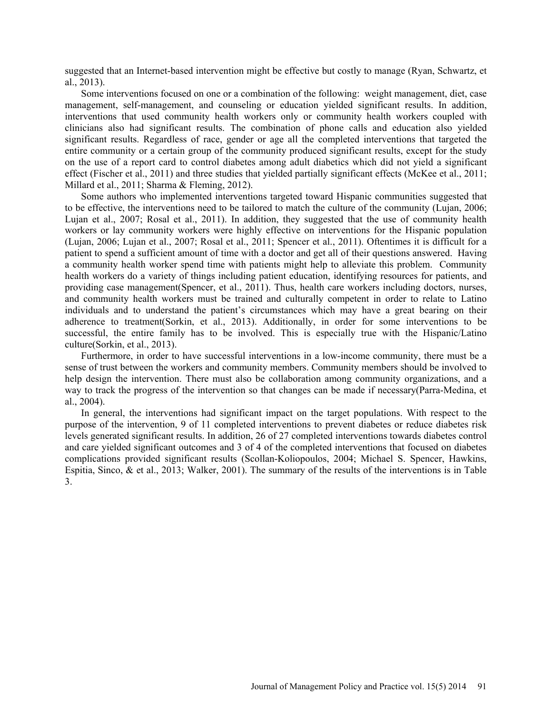suggested that an Internet-based intervention might be effective but costly to manage (Ryan, Schwartz, et al., 2013).

Some interventions focused on one or a combination of the following: weight management, diet, case management, self-management, and counseling or education yielded significant results. In addition, interventions that used community health workers only or community health workers coupled with clinicians also had significant results. The combination of phone calls and education also yielded significant results. Regardless of race, gender or age all the completed interventions that targeted the entire community or a certain group of the community produced significant results, except for the study on the use of a report card to control diabetes among adult diabetics which did not yield a significant effect (Fischer et al., 2011) and three studies that yielded partially significant effects (McKee et al., 2011; Millard et al., 2011; Sharma & Fleming, 2012).

Some authors who implemented interventions targeted toward Hispanic communities suggested that to be effective, the interventions need to be tailored to match the culture of the community (Lujan, 2006; Lujan et al., 2007; Rosal et al., 2011). In addition, they suggested that the use of community health workers or lay community workers were highly effective on interventions for the Hispanic population (Lujan, 2006; Lujan et al., 2007; Rosal et al., 2011; Spencer et al., 2011). Oftentimes it is difficult for a patient to spend a sufficient amount of time with a doctor and get all of their questions answered. Having a community health worker spend time with patients might help to alleviate this problem. Community health workers do a variety of things including patient education, identifying resources for patients, and providing case management(Spencer, et al., 2011). Thus, health care workers including doctors, nurses, and community health workers must be trained and culturally competent in order to relate to Latino individuals and to understand the patient's circumstances which may have a great bearing on their adherence to treatment(Sorkin, et al., 2013). Additionally, in order for some interventions to be successful, the entire family has to be involved. This is especially true with the Hispanic/Latino culture(Sorkin, et al., 2013).

Furthermore, in order to have successful interventions in a low-income community, there must be a sense of trust between the workers and community members. Community members should be involved to help design the intervention. There must also be collaboration among community organizations, and a way to track the progress of the intervention so that changes can be made if necessary(Parra-Medina, et al., 2004).

In general, the interventions had significant impact on the target populations. With respect to the purpose of the intervention, 9 of 11 completed interventions to prevent diabetes or reduce diabetes risk levels generated significant results. In addition, 26 of 27 completed interventions towards diabetes control and care yielded significant outcomes and 3 of 4 of the completed interventions that focused on diabetes complications provided significant results (Scollan-Koliopoulos, 2004; Michael S. Spencer, Hawkins, Espitia, Sinco,  $\&$  et al., 2013; Walker, 2001). The summary of the results of the interventions is in Table 3.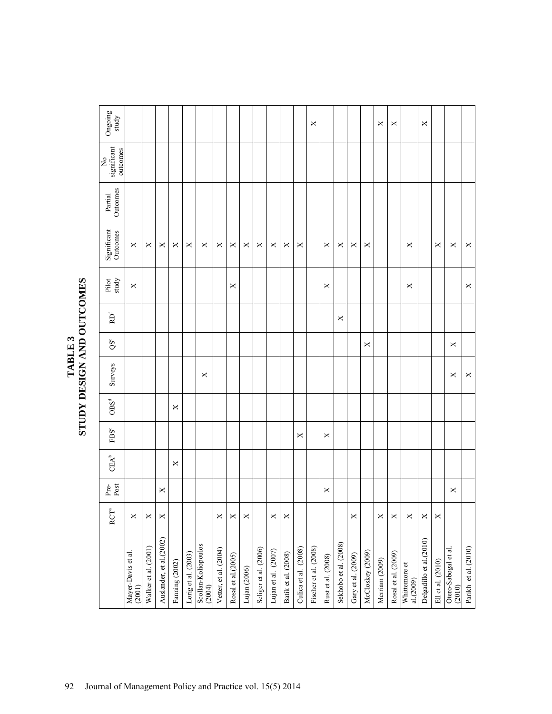| Ongoing<br>study                         |                              |                      |                          |                |                     |                               |                       |                    |              |                       |                     |                     |                      | ×                     |                    |                       |                    |                  | ×              | ×                   |                            | ×                        |                   |                                |                      |
|------------------------------------------|------------------------------|----------------------|--------------------------|----------------|---------------------|-------------------------------|-----------------------|--------------------|--------------|-----------------------|---------------------|---------------------|----------------------|-----------------------|--------------------|-----------------------|--------------------|------------------|----------------|---------------------|----------------------------|--------------------------|-------------------|--------------------------------|----------------------|
| significant<br>outcomes<br>$\frac{1}{2}$ |                              |                      |                          |                |                     |                               |                       |                    |              |                       |                     |                     |                      |                       |                    |                       |                    |                  |                |                     |                            |                          |                   |                                |                      |
| Outcomes<br>Partial                      |                              |                      |                          |                |                     |                               |                       |                    |              |                       |                     |                     |                      |                       |                    |                       |                    |                  |                |                     |                            |                          |                   |                                |                      |
| Significant<br>Outcomes                  | ×                            | ×                    | ×                        | ×              | ×                   | ×                             | ×                     | ×                  | ×            | ×                     | ×                   | ×                   | ×                    |                       | ×                  | ×                     | $\times$           | ×                |                |                     | ×                          |                          | ×                 | ×                              | ×                    |
| Pilot<br>study                           | ×                            |                      |                          |                |                     |                               |                       | ×                  |              |                       |                     |                     |                      |                       | ×                  |                       |                    |                  |                |                     | ×                          |                          |                   |                                | ×                    |
| RD <sup>f</sup>                          |                              |                      |                          |                |                     |                               |                       |                    |              |                       |                     |                     |                      |                       |                    | ×                     |                    |                  |                |                     |                            |                          |                   |                                |                      |
| QSe                                      |                              |                      |                          |                |                     |                               |                       |                    |              |                       |                     |                     |                      |                       |                    |                       |                    | $\times$         |                |                     |                            |                          |                   | ×                              |                      |
| Surveys                                  |                              |                      |                          |                |                     | ×                             |                       |                    |              |                       |                     |                     |                      |                       |                    |                       |                    |                  |                |                     |                            |                          |                   | ×                              | ×                    |
| ${\rm OBS}^{\rm d}$                      |                              |                      |                          | ×              |                     |                               |                       |                    |              |                       |                     |                     |                      |                       |                    |                       |                    |                  |                |                     |                            |                          |                   |                                |                      |
| FBSc                                     |                              |                      |                          |                |                     |                               |                       |                    |              |                       |                     |                     | ×                    |                       | ×                  |                       |                    |                  |                |                     |                            |                          |                   |                                |                      |
| $\text{CEA}^b$                           |                              |                      |                          | ×              |                     |                               |                       |                    |              |                       |                     |                     |                      |                       |                    |                       |                    |                  |                |                     |                            |                          |                   |                                |                      |
| Pre-<br>Post                             |                              |                      | ×                        |                |                     |                               |                       |                    |              |                       |                     |                     |                      |                       | ×                  |                       |                    |                  |                |                     |                            |                          |                   | ×                              |                      |
| ዎ<br>RCT                                 | $\times$                     | $\times$             | $\times$                 |                |                     |                               | $\times$              | $\times$           | $\mathsf{X}$ |                       | $\times$            | $\times$            |                      |                       |                    |                       | $\times$           |                  | $\times$       | $\times$            | $\times$                   | $\times$                 | $\times$          |                                |                      |
|                                          | Mayer-Davis et al.<br>(2001) | Walker et al. (2001) | Auslander, et al. (2002) | Fanning (2002) | Lorig et al. (2003) | Scollan-Koliopoulos<br>(2004) | Vetter, et al. (2004) | Rosal et al.(2005) | Lujan (2006) | Seliger et al. (2006) | Lujan et al. (2007) | Batik et al. (2008) | Culica et al. (2008) | Fischer et al. (2008) | Rust et al. (2008) | Sekhobo et al. (2008) | Gary et al. (2009) | McCloskey (2009) | Merriam (2009) | Rosal et al. (2009) | Whittemore et<br>al.(2009) | Delgadillo et al. (2010) | Ell et al. (2010) | Otero-Sabogal et al.<br>(2010) | Parikh et al. (2010) |

## TABLE 3<br>STUDY DESIGN AND OUTCOMES **STUDY DESIGN AND OUTCOMES**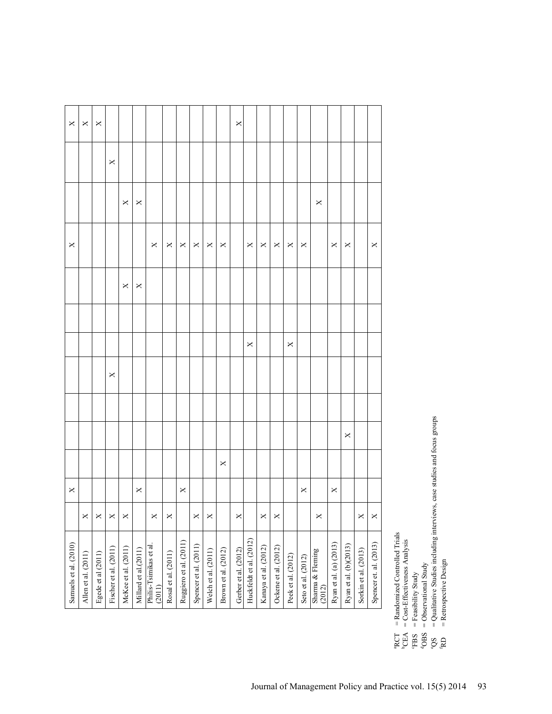| $\times$<br>×<br>×                        | $\times$                                     |               |                |                |          |          |   | × |                                                                                       |              |          |                       |   |          |          |   |                                                                                                                                                                                                                                                                                                                                                                                                                                           |
|-------------------------------------------|----------------------------------------------|---------------|----------------|----------------|----------|----------|---|---|---------------------------------------------------------------------------------------|--------------|----------|-----------------------|---|----------|----------|---|-------------------------------------------------------------------------------------------------------------------------------------------------------------------------------------------------------------------------------------------------------------------------------------------------------------------------------------------------------------------------------------------------------------------------------------------|
|                                           | ×                                            | ×             |                |                |          |          |   |   |                                                                                       |              |          |                       |   | $\times$ |          |   |                                                                                                                                                                                                                                                                                                                                                                                                                                           |
| $\times$                                  |                                              | ×             | $\pmb{\times}$ | $\pmb{\times}$ | $\times$ | ×        | × |   | $\mathsf{X}% _{T}=\mathsf{X}_{T}\!\left( a,b\right) ,\ \mathsf{X}_{T}=\mathsf{X}_{T}$ | $\mathsf{x}$ | ×        | ×                     | × |          | $\times$ | × |                                                                                                                                                                                                                                                                                                                                                                                                                                           |
|                                           | $\times$                                     | $\times$      |                |                |          |          |   |   |                                                                                       |              |          |                       |   |          |          |   |                                                                                                                                                                                                                                                                                                                                                                                                                                           |
|                                           |                                              |               |                |                |          |          |   |   | $\times$                                                                              |              |          | $\boldsymbol{\times}$ |   |          |          |   |                                                                                                                                                                                                                                                                                                                                                                                                                                           |
|                                           | ×                                            |               |                |                |          |          |   |   |                                                                                       |              |          |                       |   |          |          |   |                                                                                                                                                                                                                                                                                                                                                                                                                                           |
|                                           |                                              |               |                |                |          |          |   |   |                                                                                       |              |          |                       |   |          |          | × |                                                                                                                                                                                                                                                                                                                                                                                                                                           |
|                                           |                                              |               |                |                |          |          | × |   |                                                                                       |              |          |                       |   |          |          |   |                                                                                                                                                                                                                                                                                                                                                                                                                                           |
| ×                                         |                                              | ×             |                | ×              |          |          |   |   |                                                                                       |              |          |                       | × |          | $\times$ |   |                                                                                                                                                                                                                                                                                                                                                                                                                                           |
| $\times$<br>$\times$                      | $\times$                                     | $\times$<br>× | ×              |                | $\times$ | $\times$ |   | × |                                                                                       | $\times$     | $\times$ |                       |   | $\times$ |          |   | $\times$                                                                                                                                                                                                                                                                                                                                                                                                                                  |
| Allen et al. (2011)<br>Egede et al (2011) | McKee et al. (2011)<br>Fischer et al. (2011) |               |                |                |          |          |   |   |                                                                                       |              |          |                       |   |          |          |   | Huckfeldt et al. (2012)<br>Ruggiero et al. (2011)<br>Ryan et al. (a) (2013)<br>Ryan et al. (b)(2013)<br>Spencer et al. (2011)<br>Philis-Tsimikas et al.<br>(2011)<br>Kanaya et al. (2012)<br>Ockene et al. (2012)<br>Millard et al. (2011)<br>Brown et al. (2012)<br>Gerber et al. (2012)<br>Welch et al. (2011)<br>Sorkin et al. (2013)<br>Sharma & Fleming<br>(2012)<br>Rosal et al. (2011)<br>Peek et al. (2012)<br>Seto et al. (2012) |

RCT = Randomized Controlled Trials -Effectiveness Analysis

 $CEA = Cost$ 

 ${}^{\circ}$ FBS = Feasibility Study<br> ${}^{\circ}$ Ops = Observational Str OBS = Observational Study

 $\alpha$   $\alpha$   $\alpha$   $\alpha$   $\alpha$ 

= Qualitative Studies including interviews, case studies and focus groups = Retrospective Design  $QS = Qualitative Studies including interviews, case studies and focus groups$ 

 $RD =$  Retrospective Design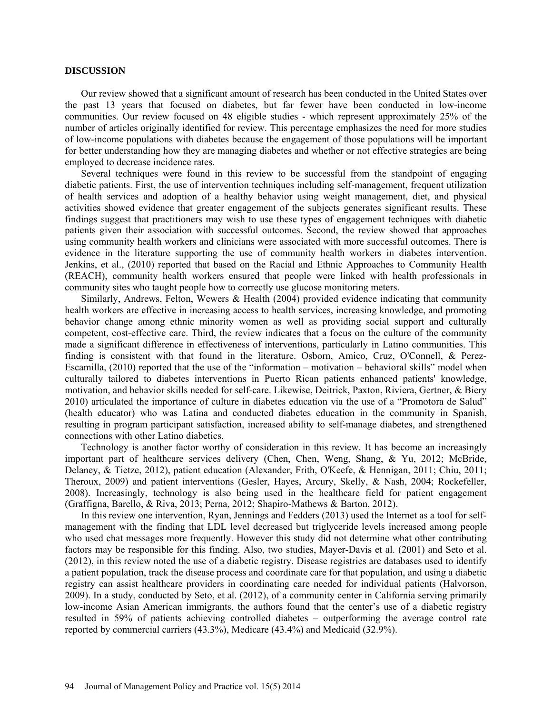### **DISCUSSION**

Our review showed that a significant amount of research has been conducted in the United States over the past 13 years that focused on diabetes, but far fewer have been conducted in low-income communities. Our review focused on 48 eligible studies - which represent approximately 25% of the number of articles originally identified for review. This percentage emphasizes the need for more studies of low-income populations with diabetes because the engagement of those populations will be important for better understanding how they are managing diabetes and whether or not effective strategies are being employed to decrease incidence rates.

Several techniques were found in this review to be successful from the standpoint of engaging diabetic patients. First, the use of intervention techniques including self-management, frequent utilization of health services and adoption of a healthy behavior using weight management, diet, and physical activities showed evidence that greater engagement of the subjects generates significant results. These findings suggest that practitioners may wish to use these types of engagement techniques with diabetic patients given their association with successful outcomes. Second, the review showed that approaches using community health workers and clinicians were associated with more successful outcomes. There is evidence in the literature supporting the use of community health workers in diabetes intervention. Jenkins, et al., (2010) reported that based on the Racial and Ethnic Approaches to Community Health (REACH), community health workers ensured that people were linked with health professionals in community sites who taught people how to correctly use glucose monitoring meters.

Similarly, Andrews, Felton, Wewers & Health (2004) provided evidence indicating that community health workers are effective in increasing access to health services, increasing knowledge, and promoting behavior change among ethnic minority women as well as providing social support and culturally competent, cost-effective care. Third, the review indicates that a focus on the culture of the community made a significant difference in effectiveness of interventions, particularly in Latino communities. This finding is consistent with that found in the literature. Osborn, Amico, Cruz, O'Connell, & Perez-Escamilla, (2010) reported that the use of the "information – motivation – behavioral skills" model when culturally tailored to diabetes interventions in Puerto Rican patients enhanced patients' knowledge, motivation, and behavior skills needed for self-care. Likewise, Deitrick, Paxton, Riviera, Gertner, & Biery 2010) articulated the importance of culture in diabetes education via the use of a "Promotora de Salud" (health educator) who was Latina and conducted diabetes education in the community in Spanish, resulting in program participant satisfaction, increased ability to self-manage diabetes, and strengthened connections with other Latino diabetics.

Technology is another factor worthy of consideration in this review. It has become an increasingly important part of healthcare services delivery (Chen, Chen, Weng, Shang, & Yu, 2012; McBride, Delaney, & Tietze, 2012), patient education (Alexander, Frith, O'Keefe, & Hennigan, 2011; Chiu, 2011; Theroux, 2009) and patient interventions (Gesler, Hayes, Arcury, Skelly, & Nash, 2004; Rockefeller, 2008). Increasingly, technology is also being used in the healthcare field for patient engagement (Graffigna, Barello, & Riva, 2013; Perna, 2012; Shapiro-Mathews & Barton, 2012).

In this review one intervention, Ryan, Jennings and Fedders (2013) used the Internet as a tool for selfmanagement with the finding that LDL level decreased but triglyceride levels increased among people who used chat messages more frequently. However this study did not determine what other contributing factors may be responsible for this finding. Also, two studies, Mayer-Davis et al. (2001) and Seto et al. (2012), in this review noted the use of a diabetic registry. Disease registries are databases used to identify a patient population, track the disease process and coordinate care for that population, and using a diabetic registry can assist healthcare providers in coordinating care needed for individual patients (Halvorson, 2009). In a study, conducted by Seto, et al. (2012), of a community center in California serving primarily low-income Asian American immigrants, the authors found that the center's use of a diabetic registry resulted in 59% of patients achieving controlled diabetes – outperforming the average control rate reported by commercial carriers (43.3%), Medicare (43.4%) and Medicaid (32.9%).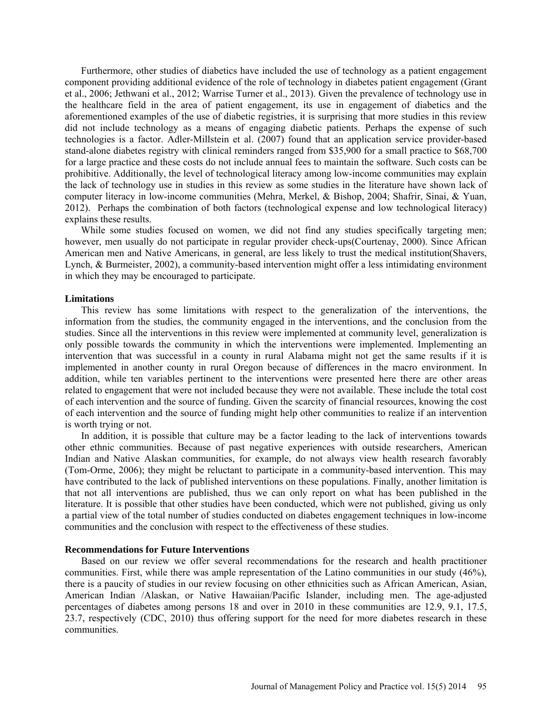Furthermore, other studies of diabetics have included the use of technology as a patient engagement component providing additional evidence of the role of technology in diabetes patient engagement (Grant et al., 2006; Jethwani et al., 2012; Warrise Turner et al., 2013). Given the prevalence of technology use in the healthcare field in the area of patient engagement, its use in engagement of diabetics and the aforementioned examples of the use of diabetic registries, it is surprising that more studies in this review did not include technology as a means of engaging diabetic patients. Perhaps the expense of such technologies is a factor. Adler-Millstein et al. (2007) found that an application service provider-based stand-alone diabetes registry with clinical reminders ranged from \$35,900 for a small practice to \$68,700 for a large practice and these costs do not include annual fees to maintain the software. Such costs can be prohibitive. Additionally, the level of technological literacy among low-income communities may explain the lack of technology use in studies in this review as some studies in the literature have shown lack of computer literacy in low-income communities (Mehra, Merkel, & Bishop, 2004; Shafrir, Sinai, & Yuan, 2012). Perhaps the combination of both factors (technological expense and low technological literacy) explains these results.

While some studies focused on women, we did not find any studies specifically targeting men; however, men usually do not participate in regular provider check-ups(Courtenay, 2000). Since African American men and Native Americans, in general, are less likely to trust the medical institution(Shavers, Lynch, & Burmeister, 2002), a community-based intervention might offer a less intimidating environment in which they may be encouraged to participate.

### **Limitations**

This review has some limitations with respect to the generalization of the interventions, the information from the studies, the community engaged in the interventions, and the conclusion from the studies. Since all the interventions in this review were implemented at community level, generalization is only possible towards the community in which the interventions were implemented. Implementing an intervention that was successful in a county in rural Alabama might not get the same results if it is implemented in another county in rural Oregon because of differences in the macro environment. In addition, while ten variables pertinent to the interventions were presented here there are other areas related to engagement that were not included because they were not available. These include the total cost of each intervention and the source of funding. Given the scarcity of financial resources, knowing the cost of each intervention and the source of funding might help other communities to realize if an intervention is worth trying or not.

In addition, it is possible that culture may be a factor leading to the lack of interventions towards other ethnic communities. Because of past negative experiences with outside researchers, American Indian and Native Alaskan communities, for example, do not always view health research favorably (Tom-Orme, 2006); they might be reluctant to participate in a community-based intervention. This may have contributed to the lack of published interventions on these populations. Finally, another limitation is that not all interventions are published, thus we can only report on what has been published in the literature. It is possible that other studies have been conducted, which were not published, giving us only a partial view of the total number of studies conducted on diabetes engagement techniques in low-income communities and the conclusion with respect to the effectiveness of these studies.

### **Recommendations for Future Interventions**

Based on our review we offer several recommendations for the research and health practitioner communities. First, while there was ample representation of the Latino communities in our study (46%), there is a paucity of studies in our review focusing on other ethnicities such as African American, Asian, American Indian /Alaskan, or Native Hawaiian/Pacific Islander, including men. The age-adjusted percentages of diabetes among persons 18 and over in 2010 in these communities are 12.9, 9.1, 17.5, 23.7, respectively (CDC, 2010) thus offering support for the need for more diabetes research in these communities.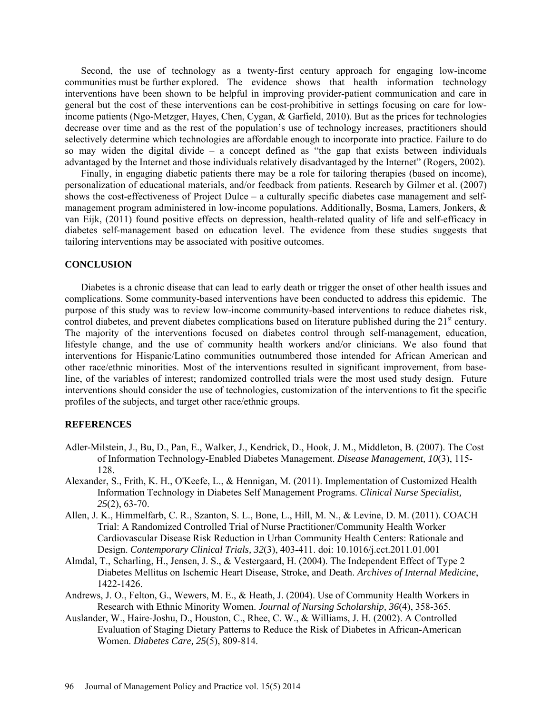Second, the use of technology as a twenty-first century approach for engaging low-income communities must be further explored. The evidence shows that health information technology interventions have been shown to be helpful in improving provider-patient communication and care in general but the cost of these interventions can be cost-prohibitive in settings focusing on care for lowincome patients (Ngo-Metzger, Hayes, Chen, Cygan, & Garfield, 2010). But as the prices for technologies decrease over time and as the rest of the population's use of technology increases, practitioners should selectively determine which technologies are affordable enough to incorporate into practice. Failure to do so may widen the digital divide – a concept defined as "the gap that exists between individuals advantaged by the Internet and those individuals relatively disadvantaged by the Internet" (Rogers, 2002).

Finally, in engaging diabetic patients there may be a role for tailoring therapies (based on income), personalization of educational materials, and/or feedback from patients. Research by Gilmer et al. (2007) shows the cost-effectiveness of Project Dulce – a culturally specific diabetes case management and selfmanagement program administered in low-income populations. Additionally, Bosma, Lamers, Jonkers, & van Eijk, (2011) found positive effects on depression, health-related quality of life and self-efficacy in diabetes self-management based on education level. The evidence from these studies suggests that tailoring interventions may be associated with positive outcomes.

### **CONCLUSION**

Diabetes is a chronic disease that can lead to early death or trigger the onset of other health issues and complications. Some community-based interventions have been conducted to address this epidemic. The purpose of this study was to review low-income community-based interventions to reduce diabetes risk, control diabetes, and prevent diabetes complications based on literature published during the  $21<sup>st</sup>$  century. The majority of the interventions focused on diabetes control through self-management, education, lifestyle change, and the use of community health workers and/or clinicians. We also found that interventions for Hispanic/Latino communities outnumbered those intended for African American and other race/ethnic minorities. Most of the interventions resulted in significant improvement, from baseline, of the variables of interest; randomized controlled trials were the most used study design. Future interventions should consider the use of technologies, customization of the interventions to fit the specific profiles of the subjects, and target other race/ethnic groups.

### **REFERENCES**

- Adler-Milstein, J., Bu, D., Pan, E., Walker, J., Kendrick, D., Hook, J. M., Middleton, B. (2007). The Cost of Information Technology-Enabled Diabetes Management. *Disease Management, 10*(3), 115- 128.
- Alexander, S., Frith, K. H., O'Keefe, L., & Hennigan, M. (2011). Implementation of Customized Health Information Technology in Diabetes Self Management Programs. *Clinical Nurse Specialist, 25*(2), 63-70.
- Allen, J. K., Himmelfarb, C. R., Szanton, S. L., Bone, L., Hill, M. N., & Levine, D. M. (2011). COACH Trial: A Randomized Controlled Trial of Nurse Practitioner/Community Health Worker Cardiovascular Disease Risk Reduction in Urban Community Health Centers: Rationale and Design. *Contemporary Clinical Trials, 32*(3), 403-411. doi: 10.1016/j.cct.2011.01.001
- Almdal, T., Scharling, H., Jensen, J. S., & Vestergaard, H. (2004). The Independent Effect of Type 2 Diabetes Mellitus on Ischemic Heart Disease, Stroke, and Death. *Archives of Internal Medicine*, 1422-1426.
- Andrews, J. O., Felton, G., Wewers, M. E., & Heath, J. (2004). Use of Community Health Workers in Research with Ethnic Minority Women. *Journal of Nursing Scholarship, 36*(4), 358-365.
- Auslander, W., Haire-Joshu, D., Houston, C., Rhee, C. W., & Williams, J. H. (2002). A Controlled Evaluation of Staging Dietary Patterns to Reduce the Risk of Diabetes in African-American Women. *Diabetes Care, 25*(5), 809-814.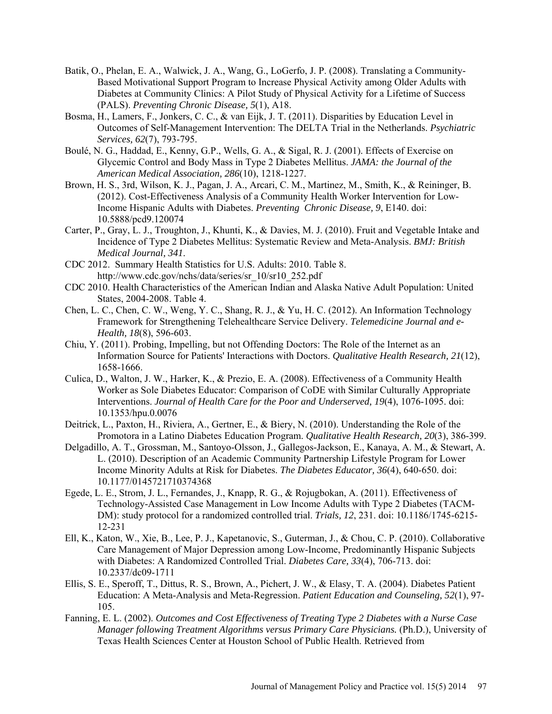- Batik, O., Phelan, E. A., Walwick, J. A., Wang, G., LoGerfo, J. P. (2008). Translating a Community-Based Motivational Support Program to Increase Physical Activity among Older Adults with Diabetes at Community Clinics: A Pilot Study of Physical Activity for a Lifetime of Success (PALS). *Preventing Chronic Disease, 5*(1), A18.
- Bosma, H., Lamers, F., Jonkers, C. C., & van Eijk, J. T. (2011). Disparities by Education Level in Outcomes of Self-Management Intervention: The DELTA Trial in the Netherlands. *Psychiatric Services, 62*(7), 793-795.
- Boulé, N. G., Haddad, E., Kenny, G.P., Wells, G. A., & Sigal, R. J. (2001). Effects of Exercise on Glycemic Control and Body Mass in Type 2 Diabetes Mellitus. *JAMA: the Journal of the American Medical Association, 286*(10), 1218-1227.
- Brown, H. S., 3rd, Wilson, K. J., Pagan, J. A., Arcari, C. M., Martinez, M., Smith, K., & Reininger, B. (2012). Cost-Effectiveness Analysis of a Community Health Worker Intervention for Low-Income Hispanic Adults with Diabetes. *Preventing Chronic Disease, 9*, E140. doi: 10.5888/pcd9.120074
- Carter, P., Gray, L. J., Troughton, J., Khunti, K., & Davies, M. J. (2010). Fruit and Vegetable Intake and Incidence of Type 2 Diabetes Mellitus: Systematic Review and Meta-Analysis. *BMJ: British Medical Journal, 341*.
- CDC 2012. Summary Health Statistics for U.S. Adults: 2010. Table 8. http://www.cdc.gov/nchs/data/series/sr\_10/sr10\_252.pdf
- CDC 2010. Health Characteristics of the American Indian and Alaska Native Adult Population: United States, 2004-2008. Table 4.
- Chen, L. C., Chen, C. W., Weng, Y. C., Shang, R. J., & Yu, H. C. (2012). An Information Technology Framework for Strengthening Telehealthcare Service Delivery. *Telemedicine Journal and e-Health, 18*(8), 596-603.
- Chiu, Y. (2011). Probing, Impelling, but not Offending Doctors: The Role of the Internet as an Information Source for Patients' Interactions with Doctors. *Qualitative Health Research, 21*(12), 1658-1666.
- Culica, D., Walton, J. W., Harker, K., & Prezio, E. A. (2008). Effectiveness of a Community Health Worker as Sole Diabetes Educator: Comparison of CoDE with Similar Culturally Appropriate Interventions. *Journal of Health Care for the Poor and Underserved, 19*(4), 1076-1095. doi: 10.1353/hpu.0.0076
- Deitrick, L., Paxton, H., Riviera, A., Gertner, E., & Biery, N. (2010). Understanding the Role of the Promotora in a Latino Diabetes Education Program. *Qualitative Health Research, 20*(3), 386-399.
- Delgadillo, A. T., Grossman, M., Santoyo-Olsson, J., Gallegos-Jackson, E., Kanaya, A. M., & Stewart, A. L. (2010). Description of an Academic Community Partnership Lifestyle Program for Lower Income Minority Adults at Risk for Diabetes. *The Diabetes Educator, 36*(4), 640-650. doi: 10.1177/0145721710374368
- Egede, L. E., Strom, J. L., Fernandes, J., Knapp, R. G., & Rojugbokan, A. (2011). Effectiveness of Technology-Assisted Case Management in Low Income Adults with Type 2 Diabetes (TACM-DM): study protocol for a randomized controlled trial. *Trials, 12*, 231. doi: 10.1186/1745-6215- 12-231
- Ell, K., Katon, W., Xie, B., Lee, P. J., Kapetanovic, S., Guterman, J., & Chou, C. P. (2010). Collaborative Care Management of Major Depression among Low-Income, Predominantly Hispanic Subjects with Diabetes: A Randomized Controlled Trial. *Diabetes Care, 33*(4), 706-713. doi: 10.2337/dc09-1711
- Ellis, S. E., Speroff, T., Dittus, R. S., Brown, A., Pichert, J. W., & Elasy, T. A. (2004). Diabetes Patient Education: A Meta-Analysis and Meta-Regression. *Patient Education and Counseling, 52*(1), 97- 105.
- Fanning, E. L. (2002). *Outcomes and Cost Effectiveness of Treating Type 2 Diabetes with a Nurse Case Manager following Treatment Algorithms versus Primary Care Physicians.* (Ph.D.), University of Texas Health Sciences Center at Houston School of Public Health. Retrieved from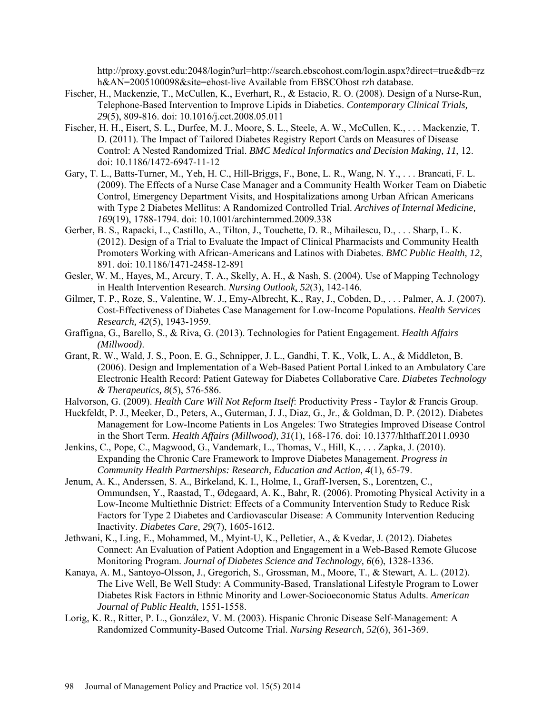http://proxy.govst.edu:2048/login?url=http://search.ebscohost.com/login.aspx?direct=true&db=rz h&AN=2005100098&site=ehost-live Available from EBSCOhost rzh database.

- Fischer, H., Mackenzie, T., McCullen, K., Everhart, R., & Estacio, R. O. (2008). Design of a Nurse-Run, Telephone-Based Intervention to Improve Lipids in Diabetics. *Contemporary Clinical Trials, 29*(5), 809-816. doi: 10.1016/j.cct.2008.05.011
- Fischer, H. H., Eisert, S. L., Durfee, M. J., Moore, S. L., Steele, A. W., McCullen, K., . . . Mackenzie, T. D. (2011). The Impact of Tailored Diabetes Registry Report Cards on Measures of Disease Control: A Nested Randomized Trial. *BMC Medical Informatics and Decision Making, 11*, 12. doi: 10.1186/1472-6947-11-12
- Gary, T. L., Batts-Turner, M., Yeh, H. C., Hill-Briggs, F., Bone, L. R., Wang, N. Y., . . . Brancati, F. L. (2009). The Effects of a Nurse Case Manager and a Community Health Worker Team on Diabetic Control, Emergency Department Visits, and Hospitalizations among Urban African Americans with Type 2 Diabetes Mellitus: A Randomized Controlled Trial. *Archives of Internal Medicine, 169*(19), 1788-1794. doi: 10.1001/archinternmed.2009.338
- Gerber, B. S., Rapacki, L., Castillo, A., Tilton, J., Touchette, D. R., Mihailescu, D., . . . Sharp, L. K. (2012). Design of a Trial to Evaluate the Impact of Clinical Pharmacists and Community Health Promoters Working with African-Americans and Latinos with Diabetes. *BMC Public Health, 12*, 891. doi: 10.1186/1471-2458-12-891
- Gesler, W. M., Hayes, M., Arcury, T. A., Skelly, A. H., & Nash, S. (2004). Use of Mapping Technology in Health Intervention Research. *Nursing Outlook, 52*(3), 142-146.
- Gilmer, T. P., Roze, S., Valentine, W. J., Emy-Albrecht, K., Ray, J., Cobden, D., . . . Palmer, A. J. (2007). Cost-Effectiveness of Diabetes Case Management for Low-Income Populations. *Health Services Research, 42*(5), 1943-1959.
- Graffigna, G., Barello, S., & Riva, G. (2013). Technologies for Patient Engagement. *Health Affairs (Millwood)*.
- Grant, R. W., Wald, J. S., Poon, E. G., Schnipper, J. L., Gandhi, T. K., Volk, L. A., & Middleton, B. (2006). Design and Implementation of a Web-Based Patient Portal Linked to an Ambulatory Care Electronic Health Record: Patient Gateway for Diabetes Collaborative Care. *Diabetes Technology & Therapeutics, 8*(5), 576-586.
- Halvorson, G. (2009). *Health Care Will Not Reform Itself*: Productivity Press Taylor & Francis Group.
- Huckfeldt, P. J., Meeker, D., Peters, A., Guterman, J. J., Diaz, G., Jr., & Goldman, D. P. (2012). Diabetes Management for Low-Income Patients in Los Angeles: Two Strategies Improved Disease Control in the Short Term. *Health Affairs (Millwood), 31*(1), 168-176. doi: 10.1377/hlthaff.2011.0930
- Jenkins, C., Pope, C., Magwood, G., Vandemark, L., Thomas, V., Hill, K., . . . Zapka, J. (2010). Expanding the Chronic Care Framework to Improve Diabetes Management. *Progress in Community Health Partnerships: Research, Education and Action, 4*(1), 65-79.
- Jenum, A. K., Anderssen, S. A., Birkeland, K. I., Holme, I., Graff-Iversen, S., Lorentzen, C., Ommundsen, Y., Raastad, T., Ødegaard, A. K., Bahr, R. (2006). Promoting Physical Activity in a Low-Income Multiethnic District: Effects of a Community Intervention Study to Reduce Risk Factors for Type 2 Diabetes and Cardiovascular Disease: A Community Intervention Reducing Inactivity. *Diabetes Care, 29*(7), 1605-1612.
- Jethwani, K., Ling, E., Mohammed, M., Myint-U, K., Pelletier, A., & Kvedar, J. (2012). Diabetes Connect: An Evaluation of Patient Adoption and Engagement in a Web-Based Remote Glucose Monitoring Program. *Journal of Diabetes Science and Technology, 6*(6), 1328-1336.
- Kanaya, A. M., Santoyo-Olsson, J., Gregorich, S., Grossman, M., Moore, T., & Stewart, A. L. (2012). The Live Well, Be Well Study: A Community-Based, Translational Lifestyle Program to Lower Diabetes Risk Factors in Ethnic Minority and Lower-Socioeconomic Status Adults. *American Journal of Public Health*, 1551-1558.
- Lorig, K. R., Ritter, P. L., González, V. M. (2003). Hispanic Chronic Disease Self-Management: A Randomized Community-Based Outcome Trial. *Nursing Research, 52*(6), 361-369.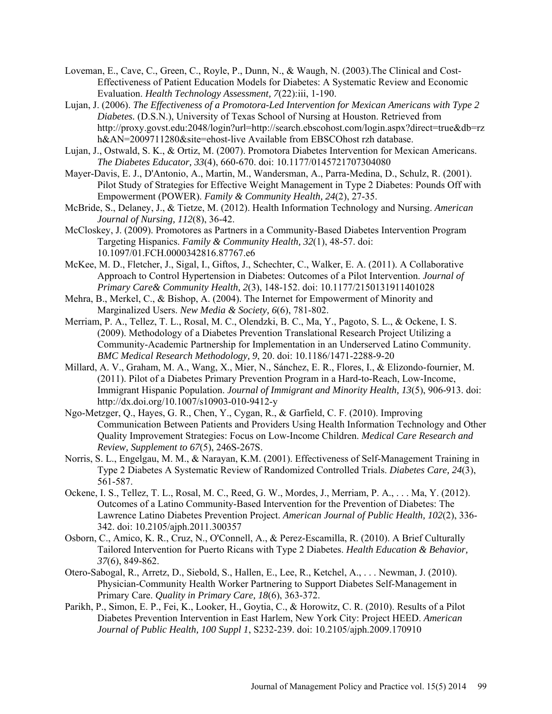- Loveman, E., Cave, C., Green, C., Royle, P., Dunn, N., & Waugh, N. (2003).The Clinical and Cost-Effectiveness of Patient Education Models for Diabetes: A Systematic Review and Economic Evaluation. *Health Technology Assessment, 7*(22):iii, 1-190.
- Lujan, J. (2006). *The Effectiveness of a Promotora-Led Intervention for Mexican Americans with Type 2 Diabetes.* (D.S.N.), University of Texas School of Nursing at Houston. Retrieved from http://proxy.govst.edu:2048/login?url=http://search.ebscohost.com/login.aspx?direct=true&db=rz h&AN=2009711280&site=ehost-live Available from EBSCOhost rzh database.
- Lujan, J., Ostwald, S. K., & Ortiz, M. (2007). Promotora Diabetes Intervention for Mexican Americans. *The Diabetes Educator, 33*(4), 660-670. doi: 10.1177/0145721707304080
- Mayer-Davis, E. J., D'Antonio, A., Martin, M., Wandersman, A., Parra-Medina, D., Schulz, R. (2001). Pilot Study of Strategies for Effective Weight Management in Type 2 Diabetes: Pounds Off with Empowerment (POWER). *Family & Community Health, 24*(2), 27-35.
- McBride, S., Delaney, J., & Tietze, M. (2012). Health Information Technology and Nursing. *American Journal of Nursing, 112*(8), 36-42.
- McCloskey, J. (2009). Promotores as Partners in a Community-Based Diabetes Intervention Program Targeting Hispanics. *Family & Community Health, 32*(1), 48-57. doi: 10.1097/01.FCH.0000342816.87767.e6
- McKee, M. D., Fletcher, J., Sigal, I., Giftos, J., Schechter, C., Walker, E. A. (2011). A Collaborative Approach to Control Hypertension in Diabetes: Outcomes of a Pilot Intervention. *Journal of Primary Care& Community Health, 2*(3), 148-152. doi: 10.1177/2150131911401028
- Mehra, B., Merkel, C., & Bishop, A. (2004). The Internet for Empowerment of Minority and Marginalized Users. *New Media & Society, 6*(6), 781-802.
- Merriam, P. A., Tellez, T. L., Rosal, M. C., Olendzki, B. C., Ma, Y., Pagoto, S. L., & Ockene, I. S. (2009). Methodology of a Diabetes Prevention Translational Research Project Utilizing a Community-Academic Partnership for Implementation in an Underserved Latino Community. *BMC Medical Research Methodology, 9*, 20. doi: 10.1186/1471-2288-9-20
- Millard, A. V., Graham, M. A., Wang, X., Mier, N., Sánchez, E. R., Flores, I., & Elizondo-fournier, M. (2011). Pilot of a Diabetes Primary Prevention Program in a Hard-to-Reach, Low-Income, Immigrant Hispanic Population. *Journal of Immigrant and Minority Health, 13*(5), 906-913. doi: http://dx.doi.org/10.1007/s10903-010-9412-y
- Ngo-Metzger, Q., Hayes, G. R., Chen, Y., Cygan, R., & Garfield, C. F. (2010). Improving Communication Between Patients and Providers Using Health Information Technology and Other Quality Improvement Strategies: Focus on Low-Income Children. *Medical Care Research and Review, Supplement to 67*(5), 246S-267S.
- Norris, S. L., Engelgau, M. M., & Narayan, K.M. (2001). Effectiveness of Self-Management Training in Type 2 Diabetes A Systematic Review of Randomized Controlled Trials. *Diabetes Care, 24*(3), 561-587.
- Ockene, I. S., Tellez, T. L., Rosal, M. C., Reed, G. W., Mordes, J., Merriam, P. A., . . . Ma, Y. (2012). Outcomes of a Latino Community-Based Intervention for the Prevention of Diabetes: The Lawrence Latino Diabetes Prevention Project. *American Journal of Public Health, 102*(2), 336- 342. doi: 10.2105/ajph.2011.300357
- Osborn, C., Amico, K. R., Cruz, N., O'Connell, A., & Perez-Escamilla, R. (2010). A Brief Culturally Tailored Intervention for Puerto Ricans with Type 2 Diabetes. *Health Education & Behavior, 37*(6), 849-862.
- Otero-Sabogal, R., Arretz, D., Siebold, S., Hallen, E., Lee, R., Ketchel, A., . . . Newman, J. (2010). Physician-Community Health Worker Partnering to Support Diabetes Self-Management in Primary Care. *Quality in Primary Care, 18*(6), 363-372.
- Parikh, P., Simon, E. P., Fei, K., Looker, H., Goytia, C., & Horowitz, C. R. (2010). Results of a Pilot Diabetes Prevention Intervention in East Harlem, New York City: Project HEED. *American Journal of Public Health, 100 Suppl 1*, S232-239. doi: 10.2105/ajph.2009.170910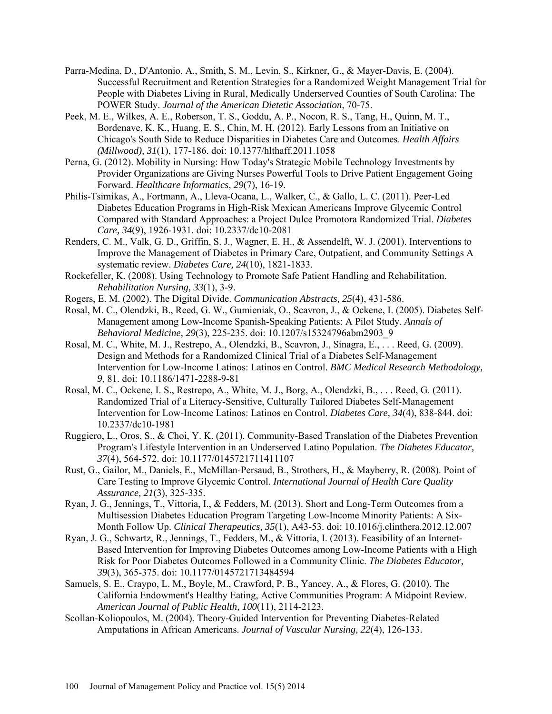- Parra-Medina, D., D'Antonio, A., Smith, S. M., Levin, S., Kirkner, G., & Mayer-Davis, E. (2004). Successful Recruitment and Retention Strategies for a Randomized Weight Management Trial for People with Diabetes Living in Rural, Medically Underserved Counties of South Carolina: The POWER Study. *Journal of the American Dietetic Association*, 70-75.
- Peek, M. E., Wilkes, A. E., Roberson, T. S., Goddu, A. P., Nocon, R. S., Tang, H., Quinn, M. T., Bordenave, K. K., Huang, E. S., Chin, M. H. (2012). Early Lessons from an Initiative on Chicago's South Side to Reduce Disparities in Diabetes Care and Outcomes. *Health Affairs (Millwood), 31*(1), 177-186. doi: 10.1377/hlthaff.2011.1058
- Perna, G. (2012). Mobility in Nursing: How Today's Strategic Mobile Technology Investments by Provider Organizations are Giving Nurses Powerful Tools to Drive Patient Engagement Going Forward. *Healthcare Informatics, 29*(7), 16-19.
- Philis-Tsimikas, A., Fortmann, A., Lleva-Ocana, L., Walker, C., & Gallo, L. C. (2011). Peer-Led Diabetes Education Programs in High-Risk Mexican Americans Improve Glycemic Control Compared with Standard Approaches: a Project Dulce Promotora Randomized Trial. *Diabetes Care, 34*(9), 1926-1931. doi: 10.2337/dc10-2081
- Renders, C. M., Valk, G. D., Griffin, S. J., Wagner, E. H., & Assendelft, W. J. (2001). Interventions to Improve the Management of Diabetes in Primary Care, Outpatient, and Community Settings A systematic review. *Diabetes Care, 24*(10), 1821-1833.
- Rockefeller, K. (2008). Using Technology to Promote Safe Patient Handling and Rehabilitation. *Rehabilitation Nursing, 33*(1), 3-9.
- Rogers, E. M. (2002). The Digital Divide. *Communication Abstracts, 25*(4), 431-586.
- Rosal, M. C., Olendzki, B., Reed, G. W., Gumieniak, O., Scavron, J., & Ockene, I. (2005). Diabetes Self-Management among Low-Income Spanish-Speaking Patients: A Pilot Study. *Annals of Behavioral Medicine, 29*(3), 225-235. doi: 10.1207/s15324796abm2903\_9
- Rosal, M. C., White, M. J., Restrepo, A., Olendzki, B., Scavron, J., Sinagra, E., . . . Reed, G. (2009). Design and Methods for a Randomized Clinical Trial of a Diabetes Self-Management Intervention for Low-Income Latinos: Latinos en Control. *BMC Medical Research Methodology, 9*, 81. doi: 10.1186/1471-2288-9-81
- Rosal, M. C., Ockene, I. S., Restrepo, A., White, M. J., Borg, A., Olendzki, B., . . . Reed, G. (2011). Randomized Trial of a Literacy-Sensitive, Culturally Tailored Diabetes Self-Management Intervention for Low-Income Latinos: Latinos en Control. *Diabetes Care, 34*(4), 838-844. doi: 10.2337/dc10-1981
- Ruggiero, L., Oros, S., & Choi, Y. K. (2011). Community-Based Translation of the Diabetes Prevention Program's Lifestyle Intervention in an Underserved Latino Population. *The Diabetes Educator, 37*(4), 564-572. doi: 10.1177/0145721711411107
- Rust, G., Gailor, M., Daniels, E., McMillan-Persaud, B., Strothers, H., & Mayberry, R. (2008). Point of Care Testing to Improve Glycemic Control. *International Journal of Health Care Quality Assurance, 21*(3), 325-335.
- Ryan, J. G., Jennings, T., Vittoria, I., & Fedders, M. (2013). Short and Long-Term Outcomes from a Multisession Diabetes Education Program Targeting Low-Income Minority Patients: A Six-Month Follow Up. *Clinical Therapeutics, 35*(1), A43-53. doi: 10.1016/j.clinthera.2012.12.007
- Ryan, J. G., Schwartz, R., Jennings, T., Fedders, M., & Vittoria, I. (2013). Feasibility of an Internet-Based Intervention for Improving Diabetes Outcomes among Low-Income Patients with a High Risk for Poor Diabetes Outcomes Followed in a Community Clinic. *The Diabetes Educator, 39*(3), 365-375. doi: 10.1177/0145721713484594
- Samuels, S. E., Craypo, L. M., Boyle, M., Crawford, P. B., Yancey, A., & Flores, G. (2010). The California Endowment's Healthy Eating, Active Communities Program: A Midpoint Review. *American Journal of Public Health, 100*(11), 2114-2123.
- Scollan-Koliopoulos, M. (2004). Theory-Guided Intervention for Preventing Diabetes-Related Amputations in African Americans. *Journal of Vascular Nursing, 22*(4), 126-133.